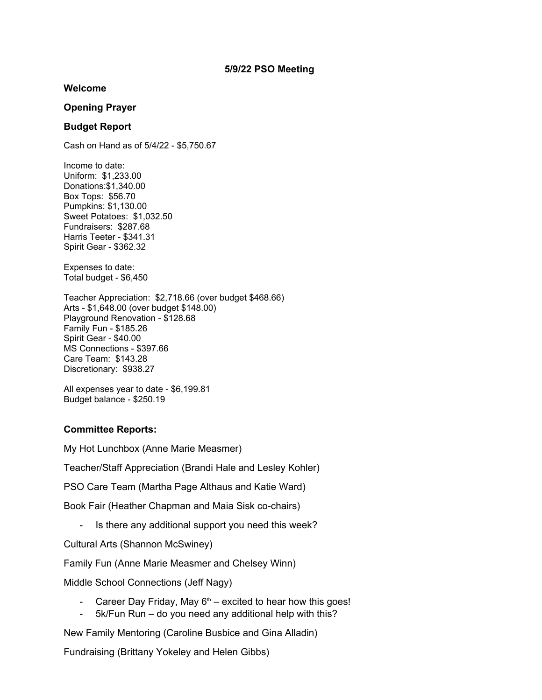#### **Welcome**

## **Opening Prayer**

# **Budget Report**

Cash on Hand as of 5/4/22 - \$5,750.67

Income to date: Uniform: \$1,233.00 Donations:\$1,340.00 Box Tops: \$56.70 Pumpkins: \$1,130.00 Sweet Potatoes: \$1,032.50 Fundraisers: \$287.68 Harris Teeter - \$341.31 Spirit Gear - \$362.32

Expenses to date: Total budget - \$6,450

Teacher Appreciation: \$2,718.66 (over budget \$468.66) Arts - \$1,648.00 (over budget \$148.00) Playground Renovation - \$128.68 Family Fun - \$185.26 Spirit Gear - \$40.00 MS Connections - \$397.66 Care Team: \$143.28 Discretionary: \$938.27

All expenses year to date - \$6,199.81 Budget balance - \$250.19

## **Committee Reports:**

My Hot Lunchbox (Anne Marie Measmer)

Teacher/Staff Appreciation (Brandi Hale and Lesley Kohler)

PSO Care Team (Martha Page Althaus and Katie Ward)

Book Fair (Heather Chapman and Maia Sisk co-chairs)

- Is there any additional support you need this week?

Cultural Arts (Shannon McSwiney)

Family Fun (Anne Marie Measmer and Chelsey Winn)

Middle School Connections (Jeff Nagy)

- Career Day Friday, May  $6<sup>th</sup>$  excited to hear how this goes!
- 5k/Fun Run do you need any additional help with this?

New Family Mentoring (Caroline Busbice and Gina Alladin)

Fundraising (Brittany Yokeley and Helen Gibbs)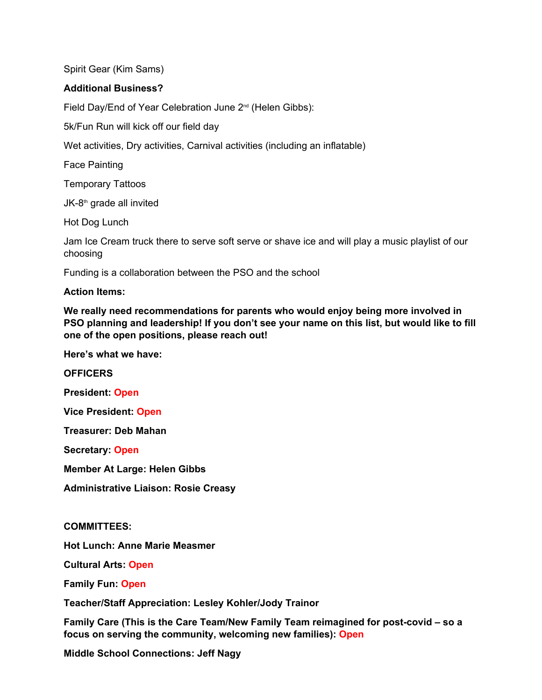Spirit Gear (Kim Sams)

# **Additional Business?**

Field Day/End of Year Celebration June 2<sup>nd</sup> (Helen Gibbs):

5k/Fun Run will kick off our field day

Wet activities, Dry activities, Carnival activities (including an inflatable)

Face Painting

Temporary Tattoos

JK-8th grade all invited

Hot Dog Lunch

Jam Ice Cream truck there to serve soft serve or shave ice and will play a music playlist of our choosing

Funding is a collaboration between the PSO and the school

**Action Items:**

**We really need recommendations for parents who would enjoy being more involved in PSO planning and leadership! If you don't see your name on this list, but would like to fill one of the open positions, please reach out!** 

**Here's what we have:**

**OFFICERS**

**President: Open**

**Vice President: Open**

**Treasurer: Deb Mahan**

**Secretary: Open**

**Member At Large: Helen Gibbs**

**Administrative Liaison: Rosie Creasy**

**COMMITTEES:**

**Hot Lunch: Anne Marie Measmer**

**Cultural Arts: Open**

**Family Fun: Open**

**Teacher/Staff Appreciation: Lesley Kohler/Jody Trainor**

**Family Care (This is the Care Team/New Family Team reimagined for post-covid – so a focus on serving the community, welcoming new families): Open**

**Middle School Connections: Jeff Nagy**